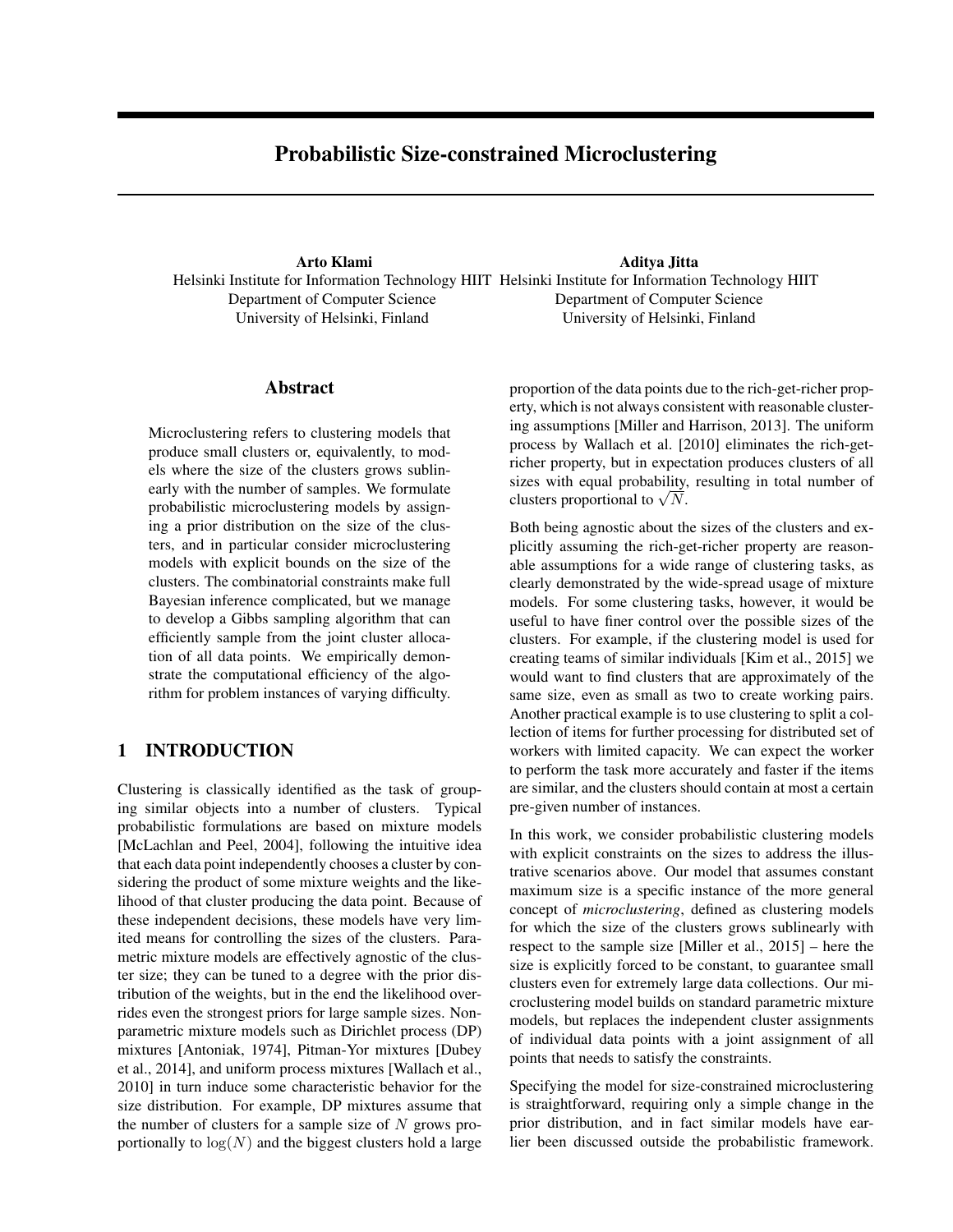# Probabilistic Size-constrained Microclustering

Arto Klami Helsinki Institute for Information Technology HIIT Helsinki Institute for Information Technology HIIT Department of Computer Science University of Helsinki, Finland Aditya Jitta Department of Computer Science University of Helsinki, Finland

#### Abstract

Microclustering refers to clustering models that produce small clusters or, equivalently, to models where the size of the clusters grows sublinearly with the number of samples. We formulate probabilistic microclustering models by assigning a prior distribution on the size of the clusters, and in particular consider microclustering models with explicit bounds on the size of the clusters. The combinatorial constraints make full Bayesian inference complicated, but we manage to develop a Gibbs sampling algorithm that can efficiently sample from the joint cluster allocation of all data points. We empirically demonstrate the computational efficiency of the algorithm for problem instances of varying difficulty.

## 1 INTRODUCTION

Clustering is classically identified as the task of grouping similar objects into a number of clusters. Typical probabilistic formulations are based on mixture models [McLachlan and Peel, 2004], following the intuitive idea that each data point independently chooses a cluster by considering the product of some mixture weights and the likelihood of that cluster producing the data point. Because of these independent decisions, these models have very limited means for controlling the sizes of the clusters. Parametric mixture models are effectively agnostic of the cluster size; they can be tuned to a degree with the prior distribution of the weights, but in the end the likelihood overrides even the strongest priors for large sample sizes. Nonparametric mixture models such as Dirichlet process (DP) mixtures [Antoniak, 1974], Pitman-Yor mixtures [Dubey et al., 2014], and uniform process mixtures [Wallach et al., 2010] in turn induce some characteristic behavior for the size distribution. For example, DP mixtures assume that the number of clusters for a sample size of  $N$  grows proportionally to  $log(N)$  and the biggest clusters hold a large proportion of the data points due to the rich-get-richer property, which is not always consistent with reasonable clustering assumptions [Miller and Harrison, 2013]. The uniform process by Wallach et al. [2010] eliminates the rich-getricher property, but in expectation produces clusters of all sizes with equal probability, resulting in total number of sizes with equal probability,<br>clusters proportional to  $\sqrt{N}$ .

Both being agnostic about the sizes of the clusters and explicitly assuming the rich-get-richer property are reasonable assumptions for a wide range of clustering tasks, as clearly demonstrated by the wide-spread usage of mixture models. For some clustering tasks, however, it would be useful to have finer control over the possible sizes of the clusters. For example, if the clustering model is used for creating teams of similar individuals [Kim et al., 2015] we would want to find clusters that are approximately of the same size, even as small as two to create working pairs. Another practical example is to use clustering to split a collection of items for further processing for distributed set of workers with limited capacity. We can expect the worker to perform the task more accurately and faster if the items are similar, and the clusters should contain at most a certain pre-given number of instances.

In this work, we consider probabilistic clustering models with explicit constraints on the sizes to address the illustrative scenarios above. Our model that assumes constant maximum size is a specific instance of the more general concept of *microclustering*, defined as clustering models for which the size of the clusters grows sublinearly with respect to the sample size [Miller et al., 2015] – here the size is explicitly forced to be constant, to guarantee small clusters even for extremely large data collections. Our microclustering model builds on standard parametric mixture models, but replaces the independent cluster assignments of individual data points with a joint assignment of all points that needs to satisfy the constraints.

Specifying the model for size-constrained microclustering is straightforward, requiring only a simple change in the prior distribution, and in fact similar models have earlier been discussed outside the probabilistic framework.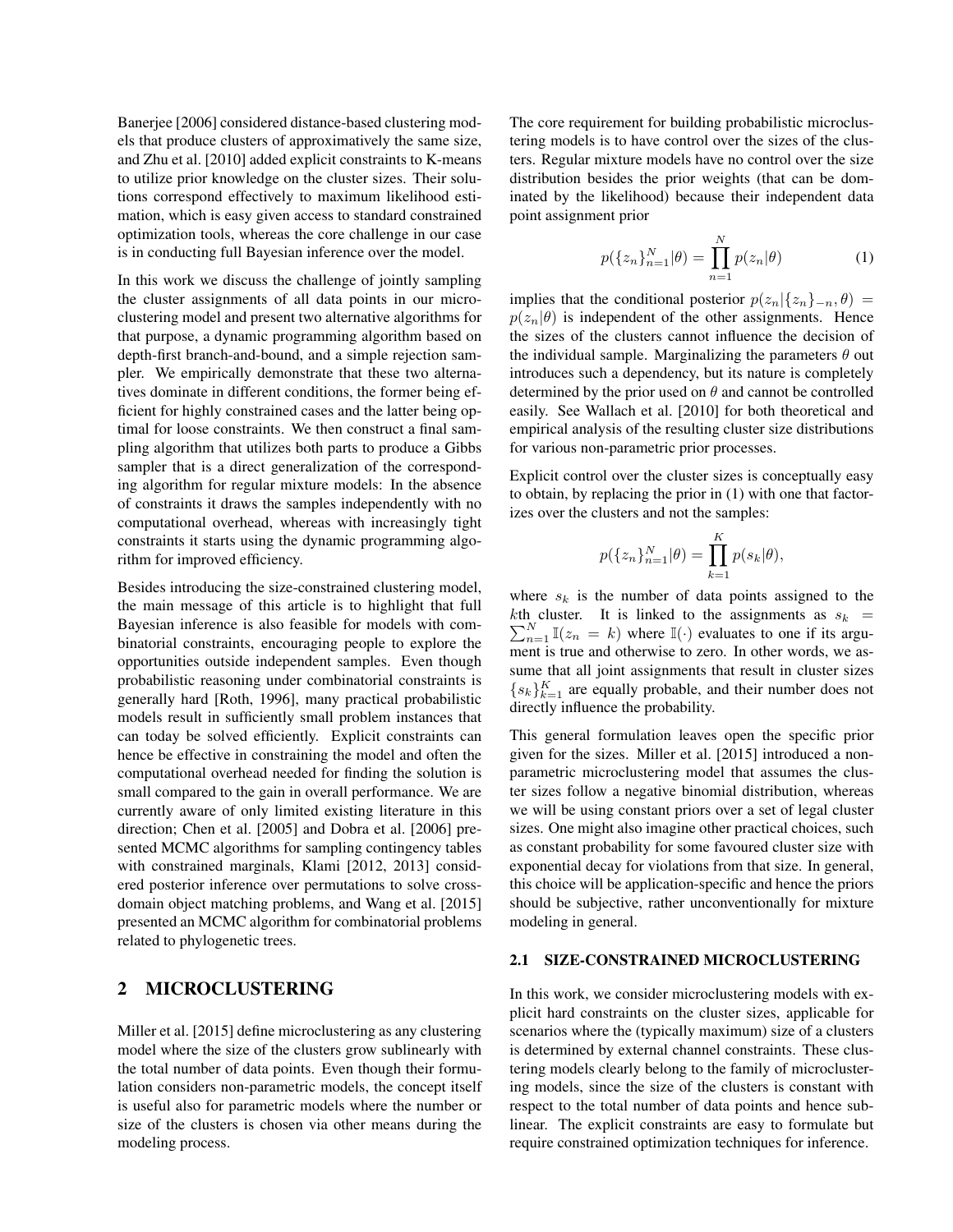Banerjee [2006] considered distance-based clustering models that produce clusters of approximatively the same size, and Zhu et al. [2010] added explicit constraints to K-means to utilize prior knowledge on the cluster sizes. Their solutions correspond effectively to maximum likelihood estimation, which is easy given access to standard constrained optimization tools, whereas the core challenge in our case is in conducting full Bayesian inference over the model.

In this work we discuss the challenge of jointly sampling the cluster assignments of all data points in our microclustering model and present two alternative algorithms for that purpose, a dynamic programming algorithm based on depth-first branch-and-bound, and a simple rejection sampler. We empirically demonstrate that these two alternatives dominate in different conditions, the former being efficient for highly constrained cases and the latter being optimal for loose constraints. We then construct a final sampling algorithm that utilizes both parts to produce a Gibbs sampler that is a direct generalization of the corresponding algorithm for regular mixture models: In the absence of constraints it draws the samples independently with no computational overhead, whereas with increasingly tight constraints it starts using the dynamic programming algorithm for improved efficiency.

Besides introducing the size-constrained clustering model, the main message of this article is to highlight that full Bayesian inference is also feasible for models with combinatorial constraints, encouraging people to explore the opportunities outside independent samples. Even though probabilistic reasoning under combinatorial constraints is generally hard [Roth, 1996], many practical probabilistic models result in sufficiently small problem instances that can today be solved efficiently. Explicit constraints can hence be effective in constraining the model and often the computational overhead needed for finding the solution is small compared to the gain in overall performance. We are currently aware of only limited existing literature in this direction; Chen et al. [2005] and Dobra et al. [2006] presented MCMC algorithms for sampling contingency tables with constrained marginals, Klami [2012, 2013] considered posterior inference over permutations to solve crossdomain object matching problems, and Wang et al. [2015] presented an MCMC algorithm for combinatorial problems related to phylogenetic trees.

## 2 MICROCLUSTERING

Miller et al. [2015] define microclustering as any clustering model where the size of the clusters grow sublinearly with the total number of data points. Even though their formulation considers non-parametric models, the concept itself is useful also for parametric models where the number or size of the clusters is chosen via other means during the modeling process.

The core requirement for building probabilistic microclustering models is to have control over the sizes of the clusters. Regular mixture models have no control over the size distribution besides the prior weights (that can be dominated by the likelihood) because their independent data point assignment prior

$$
p({z_n}_{n=1}^N|\theta) = \prod_{n=1}^N p(z_n|\theta)
$$
 (1)

implies that the conditional posterior  $p(z_n|\{z_n\}_{-n}, \theta)$  =  $p(z_n|\theta)$  is independent of the other assignments. Hence the sizes of the clusters cannot influence the decision of the individual sample. Marginalizing the parameters  $\theta$  out introduces such a dependency, but its nature is completely determined by the prior used on  $\theta$  and cannot be controlled easily. See Wallach et al. [2010] for both theoretical and empirical analysis of the resulting cluster size distributions for various non-parametric prior processes.

Explicit control over the cluster sizes is conceptually easy to obtain, by replacing the prior in (1) with one that factorizes over the clusters and not the samples:

$$
p({z_n}_{n=1}^N|\theta) = \prod_{k=1}^K p(s_k|\theta),
$$

where  $s_k$  is the number of data points assigned to the  $\sum_{n=1}^{N} \mathbb{I}(z_n = k)$  where  $\mathbb{I}(\cdot)$  evaluates to one if its argukth cluster. It is linked to the assignments as  $s_k$  = ment is true and otherwise to zero. In other words, we assume that all joint assignments that result in cluster sizes  ${s_k}_{k=1}^K$  are equally probable, and their number does not directly influence the probability.

This general formulation leaves open the specific prior given for the sizes. Miller et al. [2015] introduced a nonparametric microclustering model that assumes the cluster sizes follow a negative binomial distribution, whereas we will be using constant priors over a set of legal cluster sizes. One might also imagine other practical choices, such as constant probability for some favoured cluster size with exponential decay for violations from that size. In general, this choice will be application-specific and hence the priors should be subjective, rather unconventionally for mixture modeling in general.

#### 2.1 SIZE-CONSTRAINED MICROCLUSTERING

In this work, we consider microclustering models with explicit hard constraints on the cluster sizes, applicable for scenarios where the (typically maximum) size of a clusters is determined by external channel constraints. These clustering models clearly belong to the family of microclustering models, since the size of the clusters is constant with respect to the total number of data points and hence sublinear. The explicit constraints are easy to formulate but require constrained optimization techniques for inference.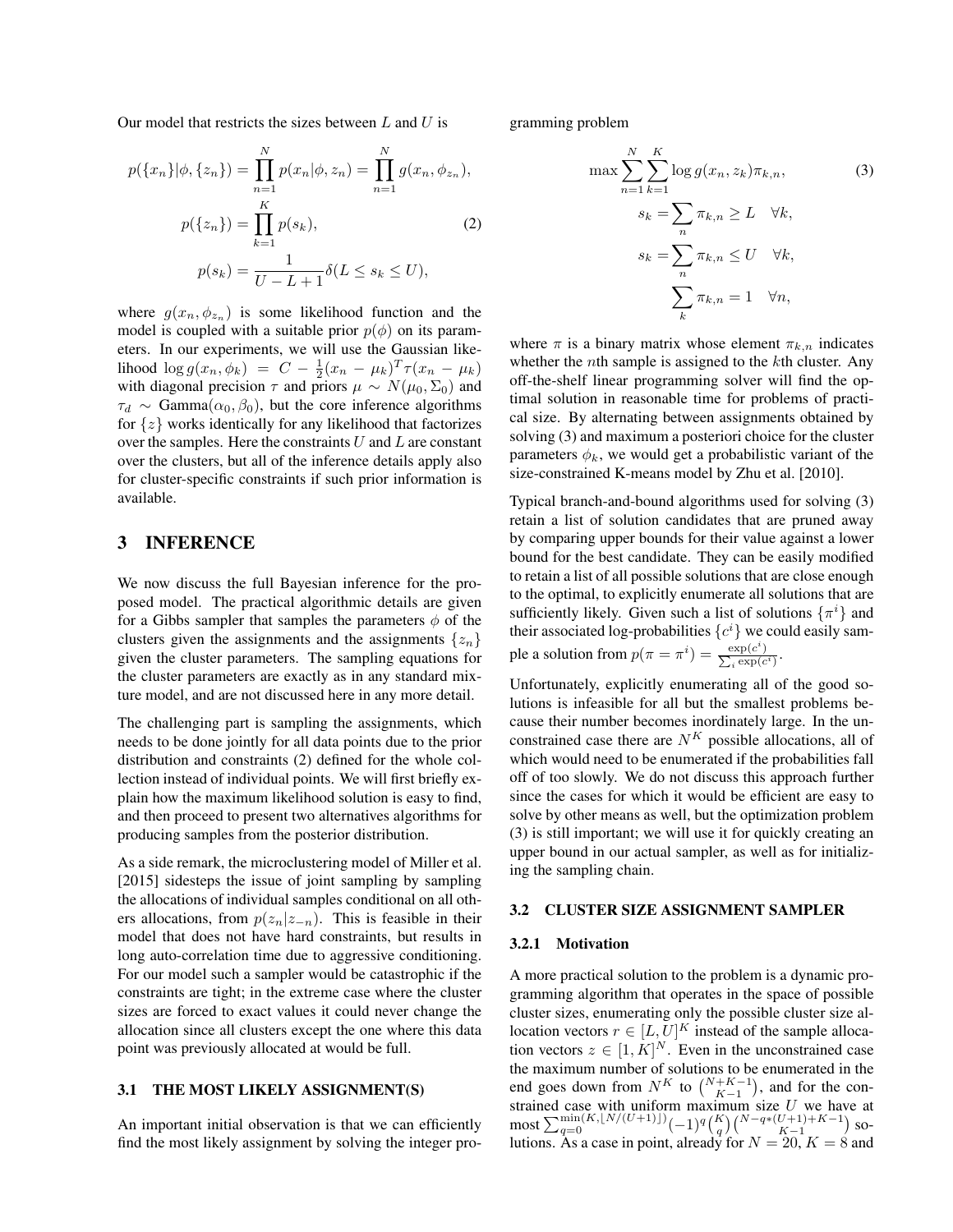Our model that restricts the sizes between  $L$  and  $U$  is

$$
p(\{x_n\}|\phi, \{z_n\}) = \prod_{n=1}^{N} p(x_n|\phi, z_n) = \prod_{n=1}^{N} g(x_n, \phi_{z_n}),
$$
  

$$
p(\{z_n\}) = \prod_{k=1}^{K} p(s_k),
$$
 (2)  

$$
p(s_k) = \frac{1}{U - L + 1} \delta(L \le s_k \le U),
$$

where  $g(x_n, \phi_{z_n})$  is some likelihood function and the model is coupled with a suitable prior  $p(\phi)$  on its parameters. In our experiments, we will use the Gaussian likelihood  $\log g(x_n, \phi_k) = C - \frac{1}{2}(x_n - \mu_k)^T \tau(x_n - \mu_k)$ with diagonal precision  $\tau$  and priors  $\mu \sim N(\mu_0, \Sigma_0)$  and  $\tau_d \sim \text{Gamma}(\alpha_0, \beta_0)$ , but the core inference algorithms for  $\{z\}$  works identically for any likelihood that factorizes over the samples. Here the constraints  $U$  and  $L$  are constant over the clusters, but all of the inference details apply also for cluster-specific constraints if such prior information is available.

### 3 INFERENCE

We now discuss the full Bayesian inference for the proposed model. The practical algorithmic details are given for a Gibbs sampler that samples the parameters  $\phi$  of the clusters given the assignments and the assignments  $\{z_n\}$ given the cluster parameters. The sampling equations for the cluster parameters are exactly as in any standard mixture model, and are not discussed here in any more detail.

The challenging part is sampling the assignments, which needs to be done jointly for all data points due to the prior distribution and constraints (2) defined for the whole collection instead of individual points. We will first briefly explain how the maximum likelihood solution is easy to find, and then proceed to present two alternatives algorithms for producing samples from the posterior distribution.

As a side remark, the microclustering model of Miller et al. [2015] sidesteps the issue of joint sampling by sampling the allocations of individual samples conditional on all others allocations, from  $p(z_n|z_{-n})$ . This is feasible in their model that does not have hard constraints, but results in long auto-correlation time due to aggressive conditioning. For our model such a sampler would be catastrophic if the constraints are tight; in the extreme case where the cluster sizes are forced to exact values it could never change the allocation since all clusters except the one where this data point was previously allocated at would be full.

#### 3.1 THE MOST LIKELY ASSIGNMENT(S)

An important initial observation is that we can efficiently find the most likely assignment by solving the integer programming problem

$$
\max \sum_{n=1}^{N} \sum_{k=1}^{K} \log g(x_n, z_k) \pi_{k,n},
$$
\n
$$
s_k = \sum_{n} \pi_{k,n} \ge L \quad \forall k,
$$
\n
$$
s_k = \sum_{n} \pi_{k,n} \le U \quad \forall k,
$$
\n
$$
\sum_{k} \pi_{k,n} = 1 \quad \forall n,
$$
\n(3)

where  $\pi$  is a binary matrix whose element  $\pi_{k,n}$  indicates whether the *n*th sample is assigned to the *k*th cluster. Any off-the-shelf linear programming solver will find the optimal solution in reasonable time for problems of practical size. By alternating between assignments obtained by solving (3) and maximum a posteriori choice for the cluster parameters  $\phi_k$ , we would get a probabilistic variant of the size-constrained K-means model by Zhu et al. [2010].

Typical branch-and-bound algorithms used for solving (3) retain a list of solution candidates that are pruned away by comparing upper bounds for their value against a lower bound for the best candidate. They can be easily modified to retain a list of all possible solutions that are close enough to the optimal, to explicitly enumerate all solutions that are sufficiently likely. Given such a list of solutions  $\{\pi^i\}$  and their associated log-probabilities  $\{c^i\}$  we could easily sample a solution from  $p(\pi = \pi^i) = \frac{\exp(c^i)}{\sum_{i} \exp(c_i)}$  $\frac{\exp(c^i)}{\sum_i \exp(c_i)}$  $\frac{\exp(c)}{i \exp(c^i)}$ .

Unfortunately, explicitly enumerating all of the good solutions is infeasible for all but the smallest problems because their number becomes inordinately large. In the unconstrained case there are  $N^K$  possible allocations, all of which would need to be enumerated if the probabilities fall off of too slowly. We do not discuss this approach further since the cases for which it would be efficient are easy to solve by other means as well, but the optimization problem (3) is still important; we will use it for quickly creating an upper bound in our actual sampler, as well as for initializing the sampling chain.

#### 3.2 CLUSTER SIZE ASSIGNMENT SAMPLER

#### 3.2.1 Motivation

A more practical solution to the problem is a dynamic programming algorithm that operates in the space of possible cluster sizes, enumerating only the possible cluster size allocation vectors  $r \in [L, U]^K$  instead of the sample allocation vectors  $z \in [1, K]^N$ . Even in the unconstrained case the maximum number of solutions to be enumerated in the end goes down from  $N^K$  to  $\binom{N+K-1}{K-1}$ , and for the constrained case with uniform maximum size  $U$  we have at most  $\sum_{q=0}^{\min(K, \lfloor N/(U+1)\rfloor)} (-1)^q {K \choose q} {N-q*(U+1)+K-1 \choose K-1}$  solutions. As a case in point, already for  $N = 20$ ,  $K = 8$  and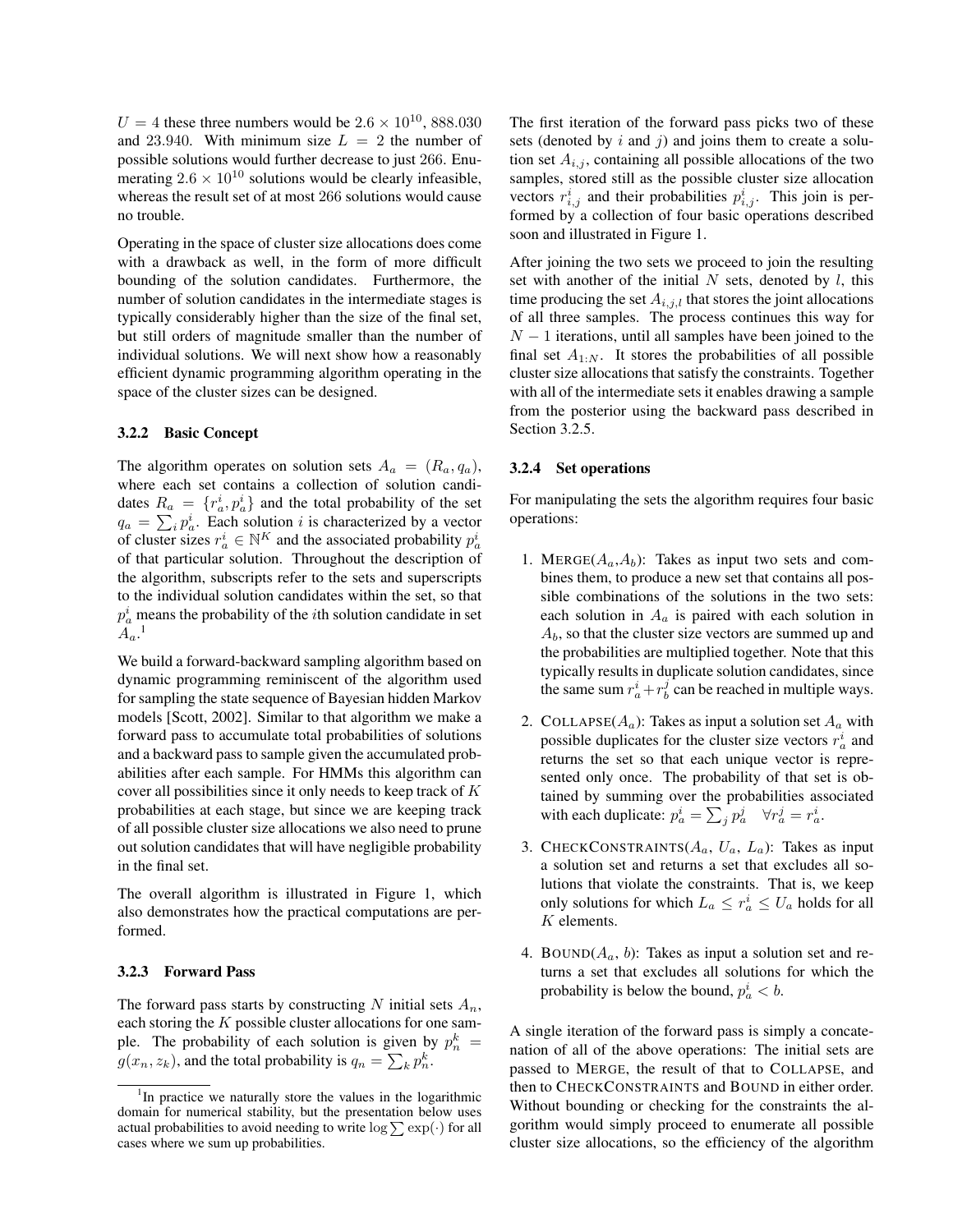$U = 4$  these three numbers would be  $2.6 \times 10^{10}$ , 888.030 and 23.940. With minimum size  $L = 2$  the number of possible solutions would further decrease to just 266. Enumerating  $2.6 \times 10^{10}$  solutions would be clearly infeasible, whereas the result set of at most 266 solutions would cause no trouble.

Operating in the space of cluster size allocations does come with a drawback as well, in the form of more difficult bounding of the solution candidates. Furthermore, the number of solution candidates in the intermediate stages is typically considerably higher than the size of the final set, but still orders of magnitude smaller than the number of individual solutions. We will next show how a reasonably efficient dynamic programming algorithm operating in the space of the cluster sizes can be designed.

#### 3.2.2 Basic Concept

The algorithm operates on solution sets  $A_a = (R_a, q_a)$ , where each set contains a collection of solution candidates  $R_a = \{r_a^i, p_a^i\}$  and the total probability of the set  $q_a = \sum_i p_a^i$ . Each solution i is characterized by a vector of cluster sizes  $r_a^i \in \mathbb{N}^K$  and the associated probability  $p_a^i$ of that particular solution. Throughout the description of the algorithm, subscripts refer to the sets and superscripts to the individual solution candidates within the set, so that  $p_a^i$  means the probability of the *i*th solution candidate in set  $A_a$ <sup>1</sup>

We build a forward-backward sampling algorithm based on dynamic programming reminiscent of the algorithm used for sampling the state sequence of Bayesian hidden Markov models [Scott, 2002]. Similar to that algorithm we make a forward pass to accumulate total probabilities of solutions and a backward pass to sample given the accumulated probabilities after each sample. For HMMs this algorithm can cover all possibilities since it only needs to keep track of K probabilities at each stage, but since we are keeping track of all possible cluster size allocations we also need to prune out solution candidates that will have negligible probability in the final set.

The overall algorithm is illustrated in Figure 1, which also demonstrates how the practical computations are performed.

#### 3.2.3 Forward Pass

The forward pass starts by constructing N initial sets  $A_n$ , each storing the  $K$  possible cluster allocations for one sample. The probability of each solution is given by  $p_n^k =$  $g(x_n, z_k)$ , and the total probability is  $q_n = \sum_k p_n^k$ .

The first iteration of the forward pass picks two of these sets (denoted by  $i$  and  $j$ ) and joins them to create a solution set  $A_{i,j}$ , containing all possible allocations of the two samples, stored still as the possible cluster size allocation vectors  $r_{i,j}^i$  and their probabilities  $p_{i,j}^i$ . This join is performed by a collection of four basic operations described soon and illustrated in Figure 1.

After joining the two sets we proceed to join the resulting set with another of the initial  $N$  sets, denoted by  $l$ , this time producing the set  $A_{i,j,l}$  that stores the joint allocations of all three samples. The process continues this way for  $N-1$  iterations, until all samples have been joined to the final set  $A_{1:N}$ . It stores the probabilities of all possible cluster size allocations that satisfy the constraints. Together with all of the intermediate sets it enables drawing a sample from the posterior using the backward pass described in Section 3.2.5.

#### 3.2.4 Set operations

For manipulating the sets the algorithm requires four basic operations:

- 1. MERGE( $A_a$ , $A_b$ ): Takes as input two sets and combines them, to produce a new set that contains all possible combinations of the solutions in the two sets: each solution in  $A_a$  is paired with each solution in  $A<sub>b</sub>$ , so that the cluster size vectors are summed up and the probabilities are multiplied together. Note that this typically results in duplicate solution candidates, since the same sum  $r_a^i + r_b^j$  can be reached in multiple ways.
- 2. COLLAPSE( $A_a$ ): Takes as input a solution set  $A_a$  with possible duplicates for the cluster size vectors  $r_a^i$  and returns the set so that each unique vector is represented only once. The probability of that set is obtained by summing over the probabilities associated with each duplicate:  $p_a^i = \sum_j p_a^j \quad \forall r_a^j = r_a^i$ .
- 3. CHECKCONSTRAINTS( $A_a$ ,  $U_a$ ,  $L_a$ ): Takes as input a solution set and returns a set that excludes all solutions that violate the constraints. That is, we keep only solutions for which  $L_a \leq r_a^i \leq U_a$  holds for all K elements.
- 4. BOUND( $A_a$ , b): Takes as input a solution set and returns a set that excludes all solutions for which the probability is below the bound,  $p_a^i < b$ .

A single iteration of the forward pass is simply a concatenation of all of the above operations: The initial sets are passed to MERGE, the result of that to COLLAPSE, and then to CHECKCONSTRAINTS and BOUND in either order. Without bounding or checking for the constraints the algorithm would simply proceed to enumerate all possible cluster size allocations, so the efficiency of the algorithm

<sup>&</sup>lt;sup>1</sup>In practice we naturally store the values in the logarithmic domain for numerical stability, but the presentation below uses actual probabilities to avoid needing to write  $\log \sum \exp(\cdot)$  for all cases where we sum up probabilities.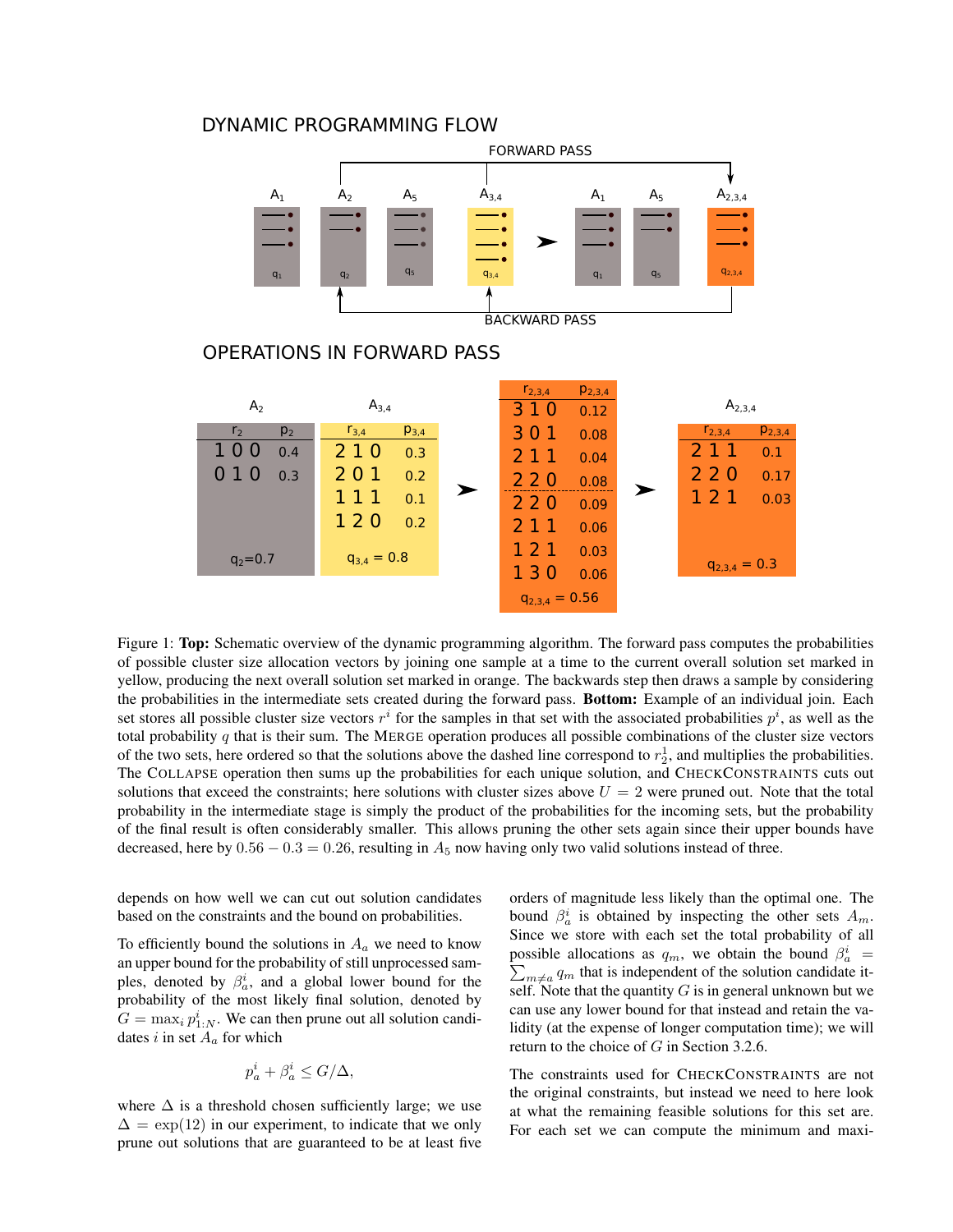## DYNAMIC PROGRAMMING FLOW



Figure 1: **Top:** Schematic overview of the dynamic programming algorithm. The forward pass computes the probabilities of possible cluster size allocation vectors by joining one sample at a time to the current overall solution set marked in yellow, producing the next overall solution set marked in orange. The backwards step then draws a sample by considering the probabilities in the intermediate sets created during the forward pass. Bottom: Example of an individual join. Each set stores all possible cluster size vectors  $r^i$  for the samples in that set with the associated probabilities  $p^i$ , as well as the total probability  $q$  that is their sum. The MERGE operation produces all possible combinations of the cluster size vectors of the two sets, here ordered so that the solutions above the dashed line correspond to  $r_2^1$ , and multiplies the probabilities. The COLLAPSE operation then sums up the probabilities for each unique solution, and CHECKCONSTRAINTS cuts out solutions that exceed the constraints; here solutions with cluster sizes above  $U = 2$  were pruned out. Note that the total probability in the intermediate stage is simply the product of the probabilities for the incoming sets, but the probability of the final result is often considerably smaller. This allows pruning the other sets again since their upper bounds have decreased, here by  $0.56 - 0.3 = 0.26$ , resulting in  $A_5$  now having only two valid solutions instead of three.

depends on how well we can cut out solution candidates based on the constraints and the bound on probabilities.

To efficiently bound the solutions in  $A_a$  we need to know an upper bound for the probability of still unprocessed samples, denoted by  $\beta_a^i$ , and a global lower bound for the probability of the most likely final solution, denoted by  $G = \max_i p_{1:N}^i$ . We can then prune out all solution candidates i in set  $A_a$  for which

$$
p_a^i + \beta_a^i \le G/\Delta,
$$

where  $\Delta$  is a threshold chosen sufficiently large; we use  $\Delta = \exp(12)$  in our experiment, to indicate that we only prune out solutions that are guaranteed to be at least five

orders of magnitude less likely than the optimal one. The bound  $\beta_a^i$  is obtained by inspecting the other sets  $A_m$ . Since we store with each set the total probability of all possible allocations as  $q_m$ , we obtain the bound  $\beta_a^i$ possible allocations as  $q_m$ , we obtain the bound  $\beta_a^i = \sum_{m \neq a} q_m$  that is independent of the solution candidate itself. Note that the quantity  $G$  is in general unknown but we can use any lower bound for that instead and retain the validity (at the expense of longer computation time); we will return to the choice of G in Section 3.2.6.

The constraints used for CHECKCONSTRAINTS are not the original constraints, but instead we need to here look at what the remaining feasible solutions for this set are. For each set we can compute the minimum and maxi-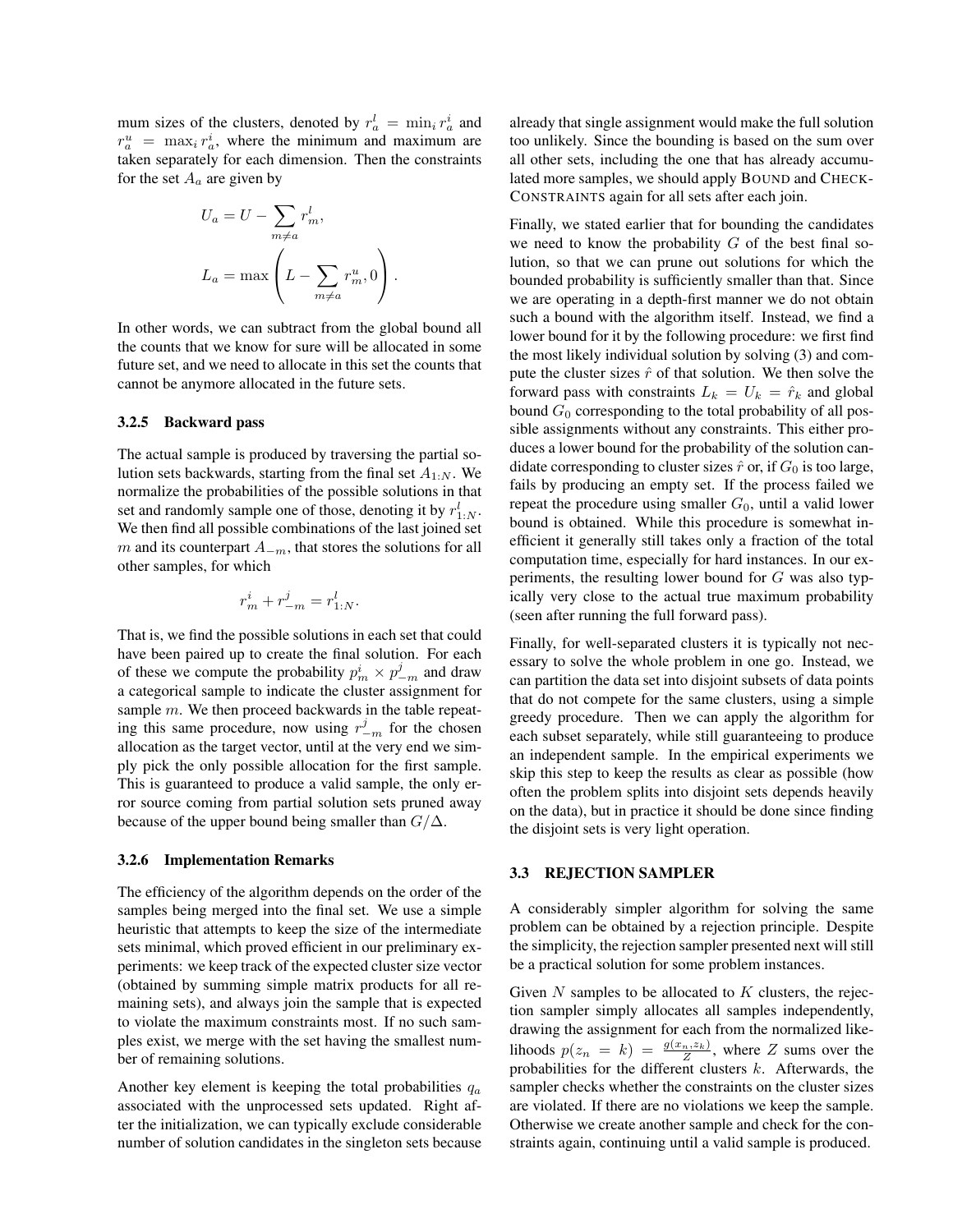mum sizes of the clusters, denoted by  $r_a^l = \min_i r_a^i$  and  $r_a^u = \max_i r_a^i$ , where the minimum and maximum are taken separately for each dimension. Then the constraints for the set  $A_a$  are given by

$$
U_a = U - \sum_{m \neq a} r_m^l,
$$
  

$$
L_a = \max \left( L - \sum_{m \neq a} r_m^u, 0 \right).
$$

In other words, we can subtract from the global bound all the counts that we know for sure will be allocated in some future set, and we need to allocate in this set the counts that cannot be anymore allocated in the future sets.

#### 3.2.5 Backward pass

The actual sample is produced by traversing the partial solution sets backwards, starting from the final set  $A_{1:N}$ . We normalize the probabilities of the possible solutions in that set and randomly sample one of those, denoting it by  $r_{1:N}^l$ . We then find all possible combinations of the last joined set m and its counterpart  $A_{-m}$ , that stores the solutions for all other samples, for which

$$
r_m^i + r_{-m}^j = r_{1:N}^l.
$$

That is, we find the possible solutions in each set that could have been paired up to create the final solution. For each of these we compute the probability  $p_m^i \times p_{-m}^j$  and draw a categorical sample to indicate the cluster assignment for sample m. We then proceed backwards in the table repeating this same procedure, now using  $r_{-m}^{j}$  for the chosen allocation as the target vector, until at the very end we simply pick the only possible allocation for the first sample. This is guaranteed to produce a valid sample, the only error source coming from partial solution sets pruned away because of the upper bound being smaller than  $G/\Delta$ .

#### 3.2.6 Implementation Remarks

The efficiency of the algorithm depends on the order of the samples being merged into the final set. We use a simple heuristic that attempts to keep the size of the intermediate sets minimal, which proved efficient in our preliminary experiments: we keep track of the expected cluster size vector (obtained by summing simple matrix products for all remaining sets), and always join the sample that is expected to violate the maximum constraints most. If no such samples exist, we merge with the set having the smallest number of remaining solutions.

Another key element is keeping the total probabilities  $q_a$ associated with the unprocessed sets updated. Right after the initialization, we can typically exclude considerable number of solution candidates in the singleton sets because already that single assignment would make the full solution too unlikely. Since the bounding is based on the sum over all other sets, including the one that has already accumulated more samples, we should apply BOUND and CHECK-CONSTRAINTS again for all sets after each join.

Finally, we stated earlier that for bounding the candidates we need to know the probability  $G$  of the best final solution, so that we can prune out solutions for which the bounded probability is sufficiently smaller than that. Since we are operating in a depth-first manner we do not obtain such a bound with the algorithm itself. Instead, we find a lower bound for it by the following procedure: we first find the most likely individual solution by solving (3) and compute the cluster sizes  $\hat{r}$  of that solution. We then solve the forward pass with constraints  $L_k = U_k = \hat{r}_k$  and global bound  $G_0$  corresponding to the total probability of all possible assignments without any constraints. This either produces a lower bound for the probability of the solution candidate corresponding to cluster sizes  $\hat{r}$  or, if  $G_0$  is too large, fails by producing an empty set. If the process failed we repeat the procedure using smaller  $G_0$ , until a valid lower bound is obtained. While this procedure is somewhat inefficient it generally still takes only a fraction of the total computation time, especially for hard instances. In our experiments, the resulting lower bound for G was also typically very close to the actual true maximum probability (seen after running the full forward pass).

Finally, for well-separated clusters it is typically not necessary to solve the whole problem in one go. Instead, we can partition the data set into disjoint subsets of data points that do not compete for the same clusters, using a simple greedy procedure. Then we can apply the algorithm for each subset separately, while still guaranteeing to produce an independent sample. In the empirical experiments we skip this step to keep the results as clear as possible (how often the problem splits into disjoint sets depends heavily on the data), but in practice it should be done since finding the disjoint sets is very light operation.

### 3.3 REJECTION SAMPLER

A considerably simpler algorithm for solving the same problem can be obtained by a rejection principle. Despite the simplicity, the rejection sampler presented next will still be a practical solution for some problem instances.

Given  $N$  samples to be allocated to  $K$  clusters, the rejection sampler simply allocates all samples independently, drawing the assignment for each from the normalized likelihoods  $p(z_n = k) = \frac{g(x_n, z_k)}{Z}$ , where Z sums over the probabilities for the different clusters  $k$ . Afterwards, the sampler checks whether the constraints on the cluster sizes are violated. If there are no violations we keep the sample. Otherwise we create another sample and check for the constraints again, continuing until a valid sample is produced.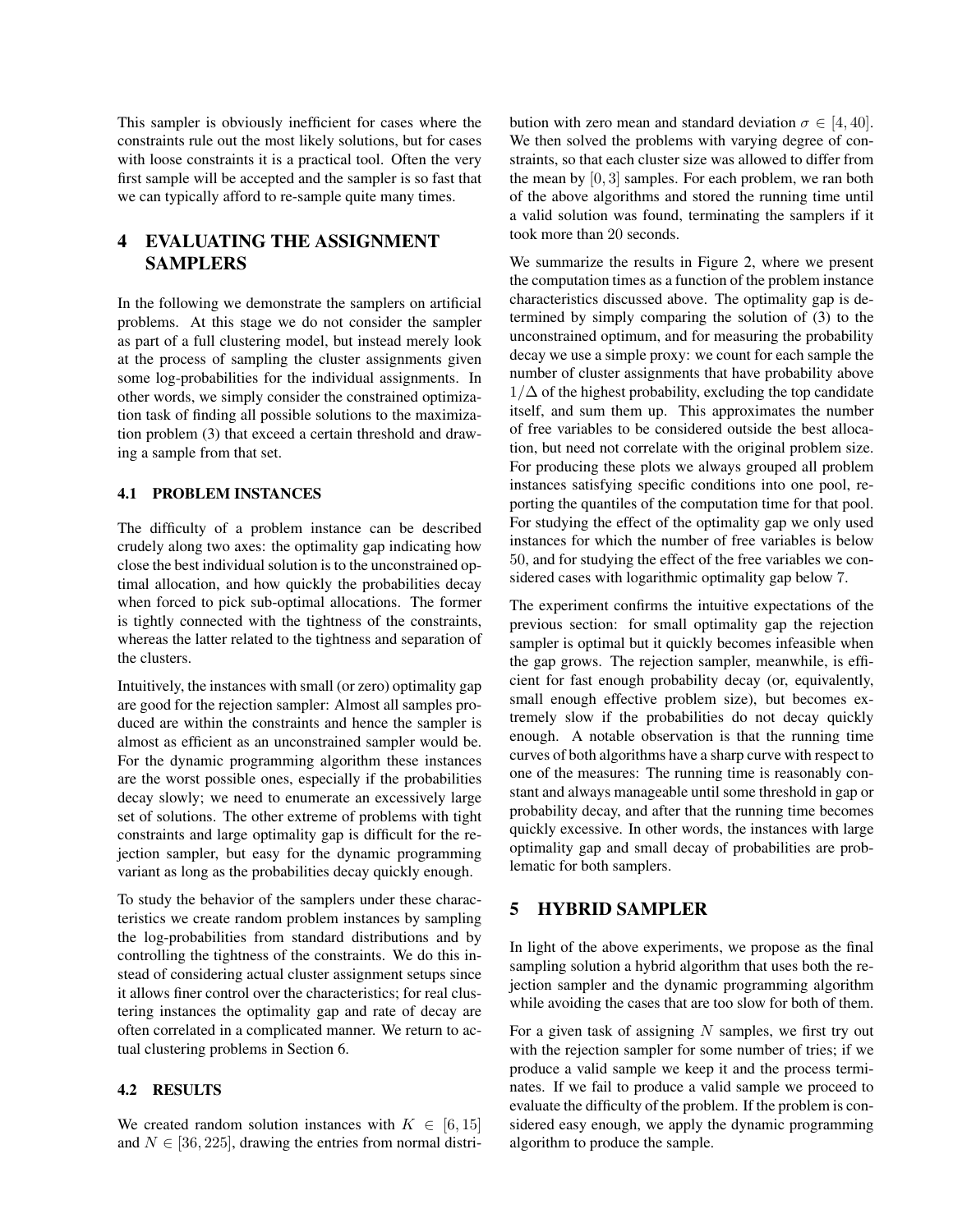This sampler is obviously inefficient for cases where the constraints rule out the most likely solutions, but for cases with loose constraints it is a practical tool. Often the very first sample will be accepted and the sampler is so fast that we can typically afford to re-sample quite many times.

# 4 EVALUATING THE ASSIGNMENT SAMPLERS

In the following we demonstrate the samplers on artificial problems. At this stage we do not consider the sampler as part of a full clustering model, but instead merely look at the process of sampling the cluster assignments given some log-probabilities for the individual assignments. In other words, we simply consider the constrained optimization task of finding all possible solutions to the maximization problem (3) that exceed a certain threshold and drawing a sample from that set.

#### 4.1 PROBLEM INSTANCES

The difficulty of a problem instance can be described crudely along two axes: the optimality gap indicating how close the best individual solution is to the unconstrained optimal allocation, and how quickly the probabilities decay when forced to pick sub-optimal allocations. The former is tightly connected with the tightness of the constraints, whereas the latter related to the tightness and separation of the clusters.

Intuitively, the instances with small (or zero) optimality gap are good for the rejection sampler: Almost all samples produced are within the constraints and hence the sampler is almost as efficient as an unconstrained sampler would be. For the dynamic programming algorithm these instances are the worst possible ones, especially if the probabilities decay slowly; we need to enumerate an excessively large set of solutions. The other extreme of problems with tight constraints and large optimality gap is difficult for the rejection sampler, but easy for the dynamic programming variant as long as the probabilities decay quickly enough.

To study the behavior of the samplers under these characteristics we create random problem instances by sampling the log-probabilities from standard distributions and by controlling the tightness of the constraints. We do this instead of considering actual cluster assignment setups since it allows finer control over the characteristics; for real clustering instances the optimality gap and rate of decay are often correlated in a complicated manner. We return to actual clustering problems in Section 6.

### 4.2 RESULTS

We created random solution instances with  $K \in [6, 15]$ and  $N \in [36, 225]$ , drawing the entries from normal distribution with zero mean and standard deviation  $\sigma \in [4, 40]$ . We then solved the problems with varying degree of constraints, so that each cluster size was allowed to differ from the mean by [0, 3] samples. For each problem, we ran both of the above algorithms and stored the running time until a valid solution was found, terminating the samplers if it took more than 20 seconds.

We summarize the results in Figure 2, where we present the computation times as a function of the problem instance characteristics discussed above. The optimality gap is determined by simply comparing the solution of (3) to the unconstrained optimum, and for measuring the probability decay we use a simple proxy: we count for each sample the number of cluster assignments that have probability above  $1/\Delta$  of the highest probability, excluding the top candidate itself, and sum them up. This approximates the number of free variables to be considered outside the best allocation, but need not correlate with the original problem size. For producing these plots we always grouped all problem instances satisfying specific conditions into one pool, reporting the quantiles of the computation time for that pool. For studying the effect of the optimality gap we only used instances for which the number of free variables is below 50, and for studying the effect of the free variables we considered cases with logarithmic optimality gap below 7.

The experiment confirms the intuitive expectations of the previous section: for small optimality gap the rejection sampler is optimal but it quickly becomes infeasible when the gap grows. The rejection sampler, meanwhile, is efficient for fast enough probability decay (or, equivalently, small enough effective problem size), but becomes extremely slow if the probabilities do not decay quickly enough. A notable observation is that the running time curves of both algorithms have a sharp curve with respect to one of the measures: The running time is reasonably constant and always manageable until some threshold in gap or probability decay, and after that the running time becomes quickly excessive. In other words, the instances with large optimality gap and small decay of probabilities are problematic for both samplers.

# 5 HYBRID SAMPLER

In light of the above experiments, we propose as the final sampling solution a hybrid algorithm that uses both the rejection sampler and the dynamic programming algorithm while avoiding the cases that are too slow for both of them.

For a given task of assigning  $N$  samples, we first try out with the rejection sampler for some number of tries; if we produce a valid sample we keep it and the process terminates. If we fail to produce a valid sample we proceed to evaluate the difficulty of the problem. If the problem is considered easy enough, we apply the dynamic programming algorithm to produce the sample.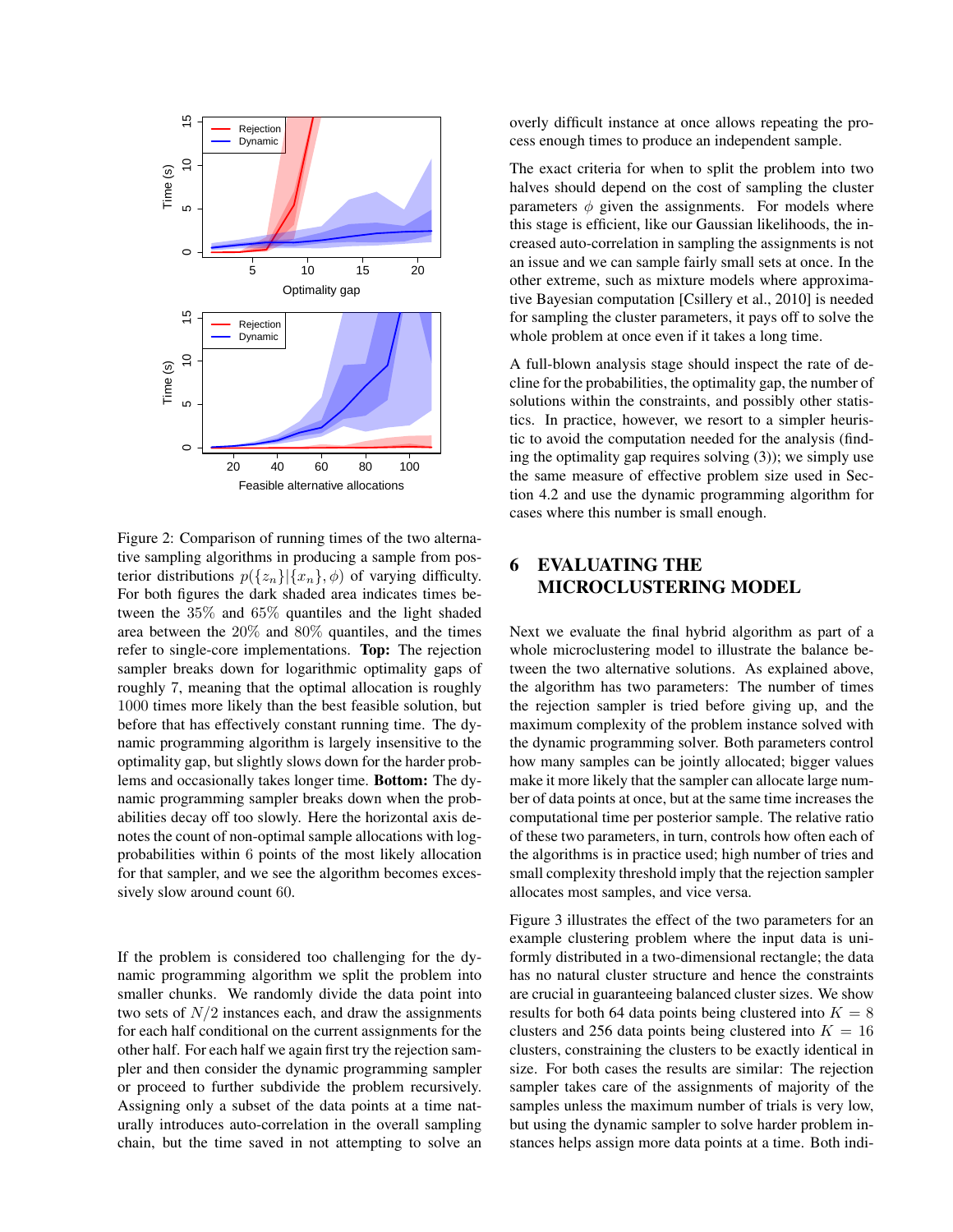

Figure 2: Comparison of running times of the two alternative sampling algorithms in producing a sample from posterior distributions  $p({z_n}||{x_n}, \phi)$  of varying difficulty. For both figures the dark shaded area indicates times between the 35% and 65% quantiles and the light shaded area between the 20% and 80% quantiles, and the times refer to single-core implementations. Top: The rejection sampler breaks down for logarithmic optimality gaps of roughly 7, meaning that the optimal allocation is roughly 1000 times more likely than the best feasible solution, but before that has effectively constant running time. The dynamic programming algorithm is largely insensitive to the optimality gap, but slightly slows down for the harder problems and occasionally takes longer time. Bottom: The dynamic programming sampler breaks down when the probabilities decay off too slowly. Here the horizontal axis denotes the count of non-optimal sample allocations with logprobabilities within 6 points of the most likely allocation for that sampler, and we see the algorithm becomes excessively slow around count 60.

If the problem is considered too challenging for the dynamic programming algorithm we split the problem into smaller chunks. We randomly divide the data point into two sets of  $N/2$  instances each, and draw the assignments for each half conditional on the current assignments for the other half. For each half we again first try the rejection sampler and then consider the dynamic programming sampler or proceed to further subdivide the problem recursively. Assigning only a subset of the data points at a time naturally introduces auto-correlation in the overall sampling chain, but the time saved in not attempting to solve an

overly difficult instance at once allows repeating the process enough times to produce an independent sample.

The exact criteria for when to split the problem into two halves should depend on the cost of sampling the cluster parameters  $\phi$  given the assignments. For models where this stage is efficient, like our Gaussian likelihoods, the increased auto-correlation in sampling the assignments is not an issue and we can sample fairly small sets at once. In the other extreme, such as mixture models where approximative Bayesian computation [Csillery et al., 2010] is needed for sampling the cluster parameters, it pays off to solve the whole problem at once even if it takes a long time.

A full-blown analysis stage should inspect the rate of decline for the probabilities, the optimality gap, the number of solutions within the constraints, and possibly other statistics. In practice, however, we resort to a simpler heuristic to avoid the computation needed for the analysis (finding the optimality gap requires solving (3)); we simply use the same measure of effective problem size used in Section 4.2 and use the dynamic programming algorithm for cases where this number is small enough.

# 6 EVALUATING THE MICROCLUSTERING MODEL

Next we evaluate the final hybrid algorithm as part of a whole microclustering model to illustrate the balance between the two alternative solutions. As explained above, the algorithm has two parameters: The number of times the rejection sampler is tried before giving up, and the maximum complexity of the problem instance solved with the dynamic programming solver. Both parameters control how many samples can be jointly allocated; bigger values make it more likely that the sampler can allocate large number of data points at once, but at the same time increases the computational time per posterior sample. The relative ratio of these two parameters, in turn, controls how often each of the algorithms is in practice used; high number of tries and small complexity threshold imply that the rejection sampler allocates most samples, and vice versa.

Figure 3 illustrates the effect of the two parameters for an example clustering problem where the input data is uniformly distributed in a two-dimensional rectangle; the data has no natural cluster structure and hence the constraints are crucial in guaranteeing balanced cluster sizes. We show results for both 64 data points being clustered into  $K = 8$ clusters and 256 data points being clustered into  $K = 16$ clusters, constraining the clusters to be exactly identical in size. For both cases the results are similar: The rejection sampler takes care of the assignments of majority of the samples unless the maximum number of trials is very low, but using the dynamic sampler to solve harder problem instances helps assign more data points at a time. Both indi-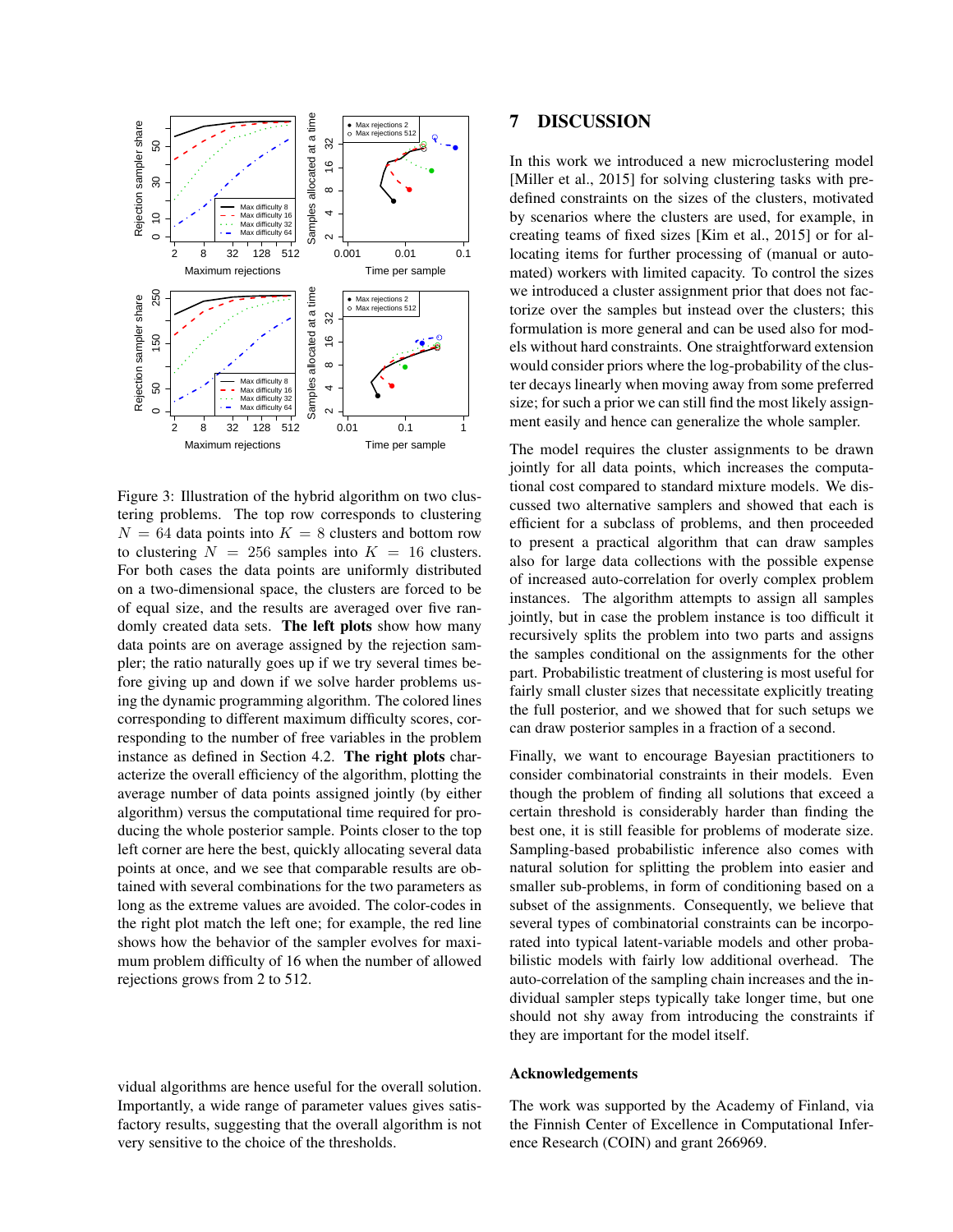

Figure 3: Illustration of the hybrid algorithm on two clustering problems. The top row corresponds to clustering  $N = 64$  data points into  $K = 8$  clusters and bottom row to clustering  $N = 256$  samples into  $K = 16$  clusters. For both cases the data points are uniformly distributed on a two-dimensional space, the clusters are forced to be of equal size, and the results are averaged over five randomly created data sets. The left plots show how many data points are on average assigned by the rejection sampler; the ratio naturally goes up if we try several times before giving up and down if we solve harder problems using the dynamic programming algorithm. The colored lines corresponding to different maximum difficulty scores, corresponding to the number of free variables in the problem instance as defined in Section 4.2. The right plots characterize the overall efficiency of the algorithm, plotting the average number of data points assigned jointly (by either algorithm) versus the computational time required for producing the whole posterior sample. Points closer to the top left corner are here the best, quickly allocating several data points at once, and we see that comparable results are obtained with several combinations for the two parameters as long as the extreme values are avoided. The color-codes in the right plot match the left one; for example, the red line shows how the behavior of the sampler evolves for maximum problem difficulty of 16 when the number of allowed rejections grows from 2 to 512.

vidual algorithms are hence useful for the overall solution. Importantly, a wide range of parameter values gives satisfactory results, suggesting that the overall algorithm is not very sensitive to the choice of the thresholds.

# 7 DISCUSSION

In this work we introduced a new microclustering model [Miller et al., 2015] for solving clustering tasks with predefined constraints on the sizes of the clusters, motivated by scenarios where the clusters are used, for example, in creating teams of fixed sizes [Kim et al., 2015] or for allocating items for further processing of (manual or automated) workers with limited capacity. To control the sizes we introduced a cluster assignment prior that does not factorize over the samples but instead over the clusters; this formulation is more general and can be used also for models without hard constraints. One straightforward extension would consider priors where the log-probability of the cluster decays linearly when moving away from some preferred size; for such a prior we can still find the most likely assignment easily and hence can generalize the whole sampler.

The model requires the cluster assignments to be drawn jointly for all data points, which increases the computational cost compared to standard mixture models. We discussed two alternative samplers and showed that each is efficient for a subclass of problems, and then proceeded to present a practical algorithm that can draw samples also for large data collections with the possible expense of increased auto-correlation for overly complex problem instances. The algorithm attempts to assign all samples jointly, but in case the problem instance is too difficult it recursively splits the problem into two parts and assigns the samples conditional on the assignments for the other part. Probabilistic treatment of clustering is most useful for fairly small cluster sizes that necessitate explicitly treating the full posterior, and we showed that for such setups we can draw posterior samples in a fraction of a second.

Finally, we want to encourage Bayesian practitioners to consider combinatorial constraints in their models. Even though the problem of finding all solutions that exceed a certain threshold is considerably harder than finding the best one, it is still feasible for problems of moderate size. Sampling-based probabilistic inference also comes with natural solution for splitting the problem into easier and smaller sub-problems, in form of conditioning based on a subset of the assignments. Consequently, we believe that several types of combinatorial constraints can be incorporated into typical latent-variable models and other probabilistic models with fairly low additional overhead. The auto-correlation of the sampling chain increases and the individual sampler steps typically take longer time, but one should not shy away from introducing the constraints if they are important for the model itself.

#### Acknowledgements

The work was supported by the Academy of Finland, via the Finnish Center of Excellence in Computational Inference Research (COIN) and grant 266969.